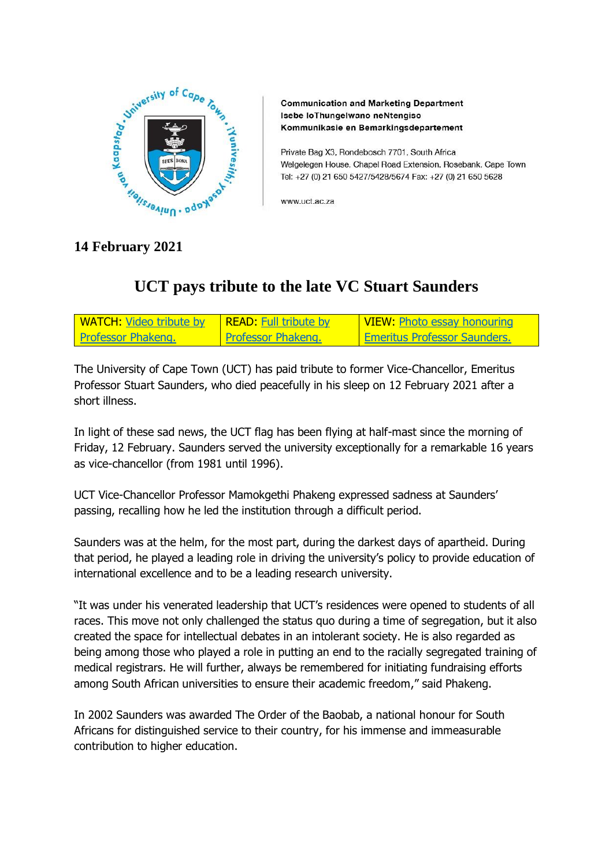

**Communication and Marketing Department** Isebe loThungelwano neNtengiso Kommunikasie en Bemarkingsdepartement

Private Bag X3, Rondebosch 7701, South Africa Welgelegen House, Chapel Road Extension, Rosebank, Cape Town Tel: +27 (0) 21 650 5427/5428/5674 Fax: +27 (0) 21 650 5628

www.uct.ac.za

## **14 February 2021**

## **UCT pays tribute to the late VC Stuart Saunders**

| <b>WATCH:</b> Video tribute by   READ: Full tribute by |                           | <u>  VIEW: Photo essay honouring</u> |
|--------------------------------------------------------|---------------------------|--------------------------------------|
| <b>Professor Phakeng.</b>                              | <b>Professor Phakeng.</b> | Emeritus Professor Saunders.         |

The University of Cape Town (UCT) has paid tribute to former Vice-Chancellor, Emeritus Professor Stuart Saunders, who died peacefully in his sleep on 12 February 2021 after a short illness.

In light of these sad news, the UCT flag has been flying at half-mast since the morning of Friday, 12 February. Saunders served the university exceptionally for a remarkable 16 years as vice-chancellor (from 1981 until 1996).

UCT Vice-Chancellor Professor Mamokgethi Phakeng expressed sadness at Saunders' passing, recalling how he led the institution through a difficult period.

Saunders was at the helm, for the most part, during the darkest days of apartheid. During that period, he played a leading role in driving the university's policy to provide education of international excellence and to be a leading research university.

"It was under his venerated leadership that UCT's residences were opened to students of all races. This move not only challenged the status quo during a time of segregation, but it also created the space for intellectual debates in an intolerant society. He is also regarded as being among those who played a role in putting an end to the racially segregated training of medical registrars. He will further, always be remembered for initiating fundraising efforts among South African universities to ensure their academic freedom," said Phakeng.

In 2002 Saunders was awarded The Order of the Baobab, a national honour for South Africans for distinguished service to their country, for his immense and immeasurable contribution to higher education.